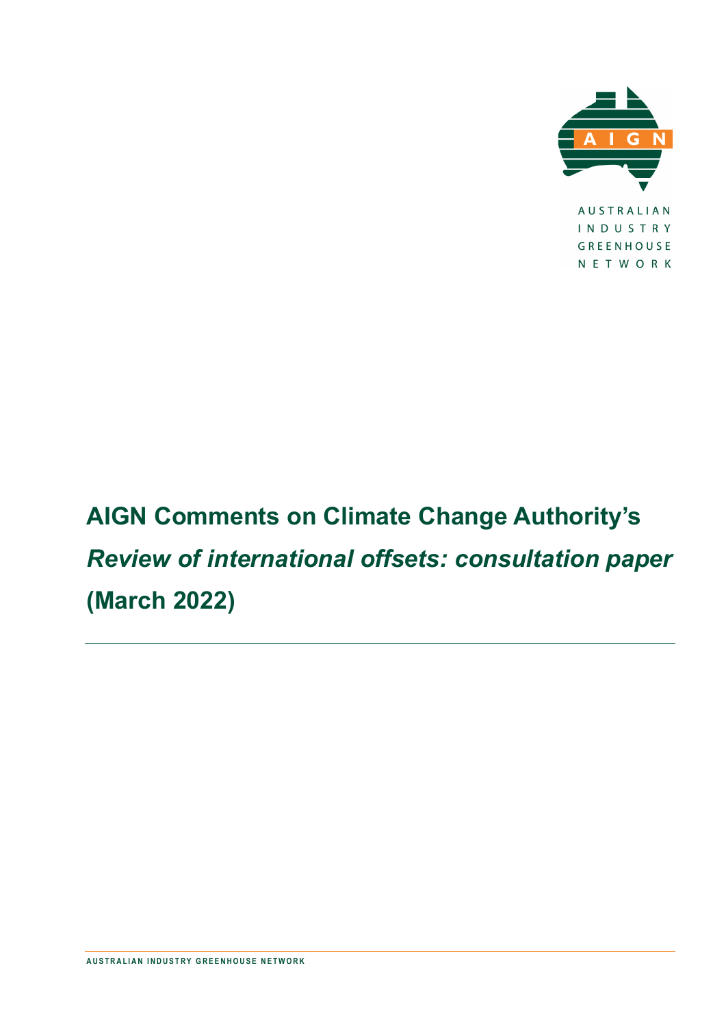

NETWORK

<span id="page-0-0"></span>**AIGN Comments on Climate Change Authority's**  *Review of international offsets: consultation paper* **(March 2022)**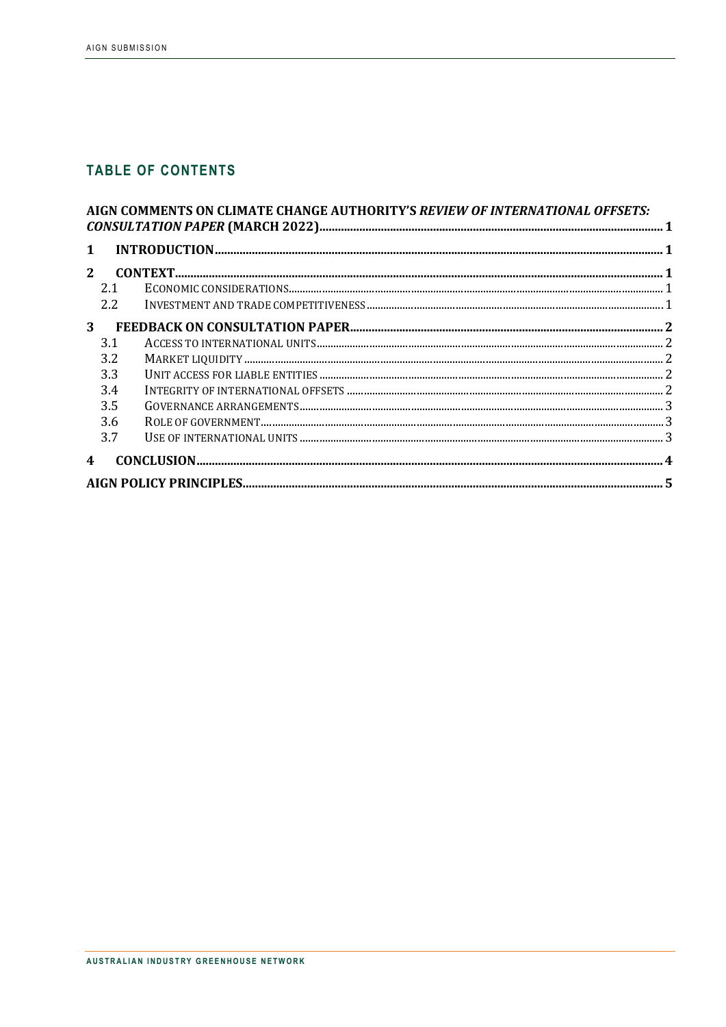## **TABLE OF CONTENTS**

| AIGN COMMENTS ON CLIMATE CHANGE AUTHORITY'S REVIEW OF INTERNATIONAL OFFSETS: |               |  |  |  |
|------------------------------------------------------------------------------|---------------|--|--|--|
|                                                                              |               |  |  |  |
| $\mathbf{1}$                                                                 |               |  |  |  |
| 2 <sup>1</sup>                                                               |               |  |  |  |
|                                                                              | 2.1           |  |  |  |
|                                                                              | $2.2^{\circ}$ |  |  |  |
| 3 <sup>1</sup>                                                               |               |  |  |  |
|                                                                              | 3.1           |  |  |  |
|                                                                              | 3.2           |  |  |  |
|                                                                              | 3.3           |  |  |  |
|                                                                              | 3.4           |  |  |  |
|                                                                              | 3.5           |  |  |  |
|                                                                              | 3.6           |  |  |  |
|                                                                              | 3.7           |  |  |  |
| $\overline{\mathbf{4}}$                                                      |               |  |  |  |
|                                                                              |               |  |  |  |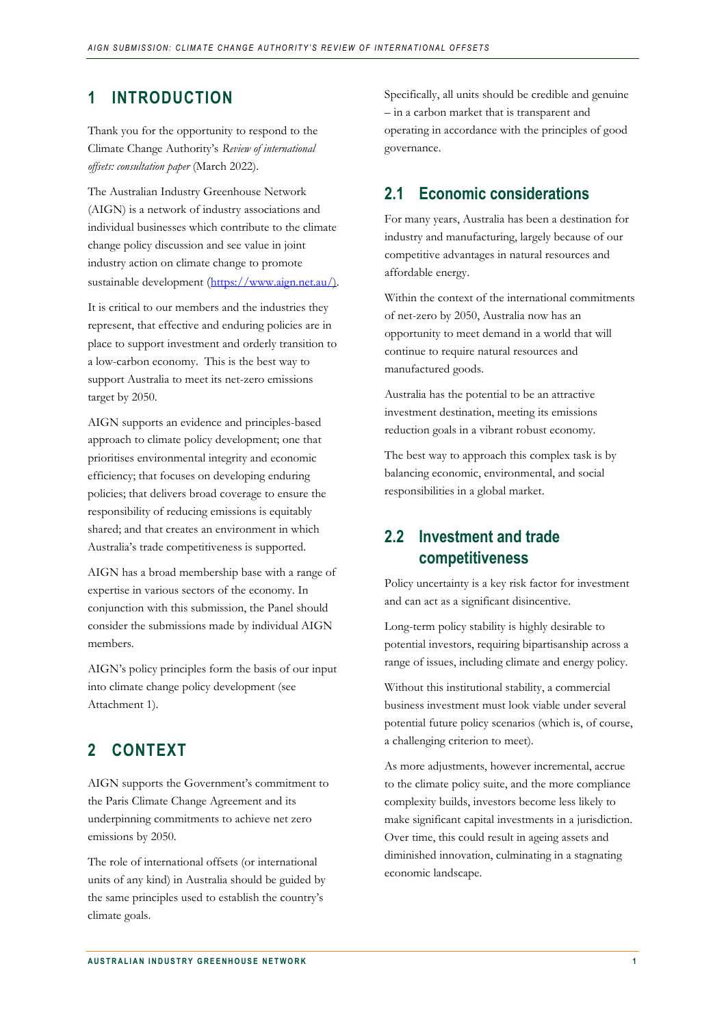#### <span id="page-2-0"></span>**1 INTRODUCTION**

Thank you for the opportunity to respond to the Climate Change Authority's *Review of international offsets: consultation paper* (March 2022).

The Australian Industry Greenhouse Network (AIGN) is a network of industry associations and individual businesses which contribute to the climate change policy discussion and see value in joint industry action on climate change to promote sustainable development [\(https://www.aign.net.au/\)](https://www.aign.net.au/).

It is critical to our members and the industries they represent, that effective and enduring policies are in place to support investment and orderly transition to a low-carbon economy. This is the best way to support Australia to meet its net-zero emissions target by 2050.

AIGN supports an evidence and principles-based approach to climate policy development; one that prioritises environmental integrity and economic efficiency; that focuses on developing enduring policies; that delivers broad coverage to ensure the responsibility of reducing emissions is equitably shared; and that creates an environment in which Australia's trade competitiveness is supported.

AIGN has a broad membership base with a range of expertise in various sectors of the economy. In conjunction with this submission, the Panel should consider the submissions made by individual AIGN members.

AIGN's policy principles form the basis of our input into climate change policy development (see Attachment 1).

## <span id="page-2-1"></span>**2 CONTEXT**

AIGN supports the Government's commitment to the Paris Climate Change Agreement and its underpinning commitments to achieve net zero emissions by 2050.

The role of international offsets (or international units of any kind) in Australia should be guided by the same principles used to establish the country's climate goals.

Specifically, all units should be credible and genuine – in a carbon market that is transparent and operating in accordance with the principles of good governance.

#### <span id="page-2-2"></span>**2.1 Economic considerations**

For many years, Australia has been a destination for industry and manufacturing, largely because of our competitive advantages in natural resources and affordable energy.

Within the context of the international commitments of net-zero by 2050, Australia now has an opportunity to meet demand in a world that will continue to require natural resources and manufactured goods.

Australia has the potential to be an attractive investment destination, meeting its emissions reduction goals in a vibrant robust economy.

The best way to approach this complex task is by balancing economic, environmental, and social responsibilities in a global market.

#### <span id="page-2-3"></span>**2.2 Investment and trade competitiveness**

Policy uncertainty is a key risk factor for investment and can act as a significant disincentive.

Long-term policy stability is highly desirable to potential investors, requiring bipartisanship across a range of issues, including climate and energy policy.

Without this institutional stability, a commercial business investment must look viable under several potential future policy scenarios (which is, of course, a challenging criterion to meet).

As more adjustments, however incremental, accrue to the climate policy suite, and the more compliance complexity builds, investors become less likely to make significant capital investments in a jurisdiction. Over time, this could result in ageing assets and diminished innovation, culminating in a stagnating economic landscape.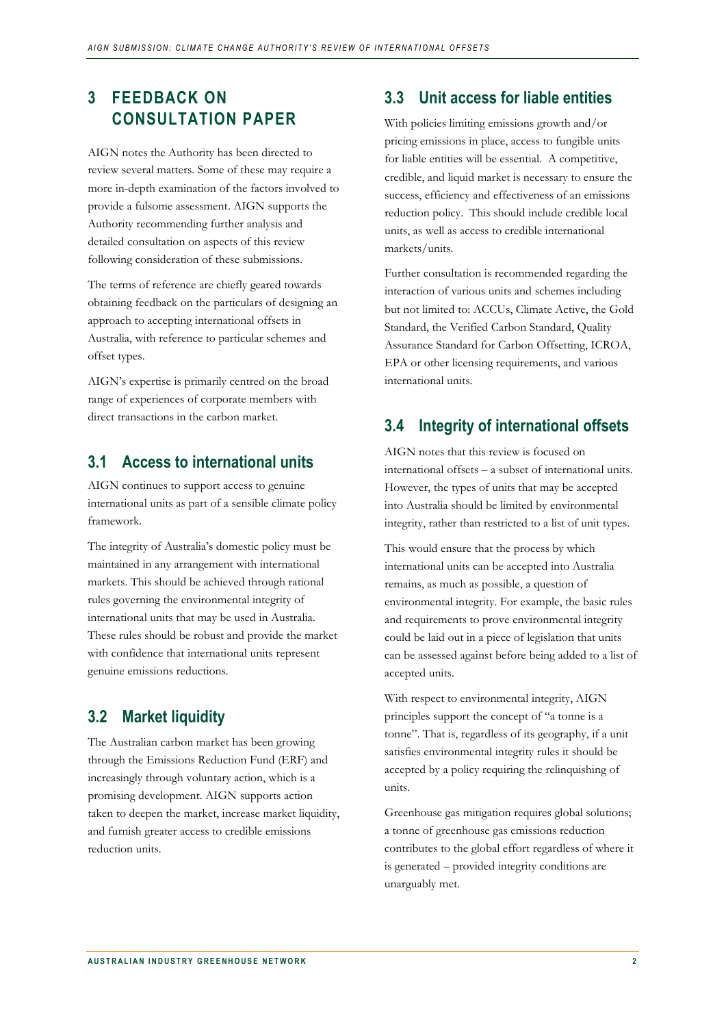# <span id="page-3-0"></span>**3 FEEDBACK ON CONSULTATION PAPER**

AIGN notes the Authority has been directed to review several matters. Some of these may require a more in-depth examination of the factors involved to provide a fulsome assessment. AIGN supports the Authority recommending further analysis and detailed consultation on aspects of this review following consideration of these submissions.

The terms of reference are chiefly geared towards obtaining feedback on the particulars of designing an approach to accepting international offsets in Australia, with reference to particular schemes and offset types.

AIGN's expertise is primarily centred on the broad range of experiences of corporate members with direct transactions in the carbon market.

#### <span id="page-3-1"></span>**3.1 Access to international units**

AIGN continues to support access to genuine international units as part of a sensible climate policy framework.

The integrity of Australia's domestic policy must be maintained in any arrangement with international markets. This should be achieved through rational rules governing the environmental integrity of international units that may be used in Australia. These rules should be robust and provide the market with confidence that international units represent genuine emissions reductions.

#### <span id="page-3-2"></span>**3.2 Market liquidity**

The Australian carbon market has been growing through the Emissions Reduction Fund (ERF) and increasingly through voluntary action, which is a promising development. AIGN supports action taken to deepen the market, increase market liquidity, and furnish greater access to credible emissions reduction units.

#### <span id="page-3-3"></span>**3.3 Unit access for liable entities**

With policies limiting emissions growth and/or pricing emissions in place, access to fungible units for liable entities will be essential. A competitive, credible, and liquid market is necessary to ensure the success, efficiency and effectiveness of an emissions reduction policy. This should include credible local units, as well as access to credible international markets/units.

Further consultation is recommended regarding the interaction of various units and schemes including but not limited to: ACCUs, Climate Active, the Gold Standard, the Verified Carbon Standard, Quality Assurance Standard for Carbon Offsetting, ICROA, EPA or other licensing requirements, and various international units.

### <span id="page-3-4"></span>**3.4 Integrity of international offsets**

AIGN notes that this review is focused on international offsets – a subset of international units. However, the types of units that may be accepted into Australia should be limited by environmental integrity, rather than restricted to a list of unit types.

This would ensure that the process by which international units can be accepted into Australia remains, as much as possible, a question of environmental integrity. For example, the basic rules and requirements to prove environmental integrity could be laid out in a piece of legislation that units can be assessed against before being added to a list of accepted units.

With respect to environmental integrity, AIGN principles support the concept of "a tonne is a tonne". That is, regardless of its geography, if a unit satisfies environmental integrity rules it should be accepted by a policy requiring the relinquishing of units.

Greenhouse gas mitigation requires global solutions; a tonne of greenhouse gas emissions reduction contributes to the global effort regardless of where it is generated – provided integrity conditions are unarguably met.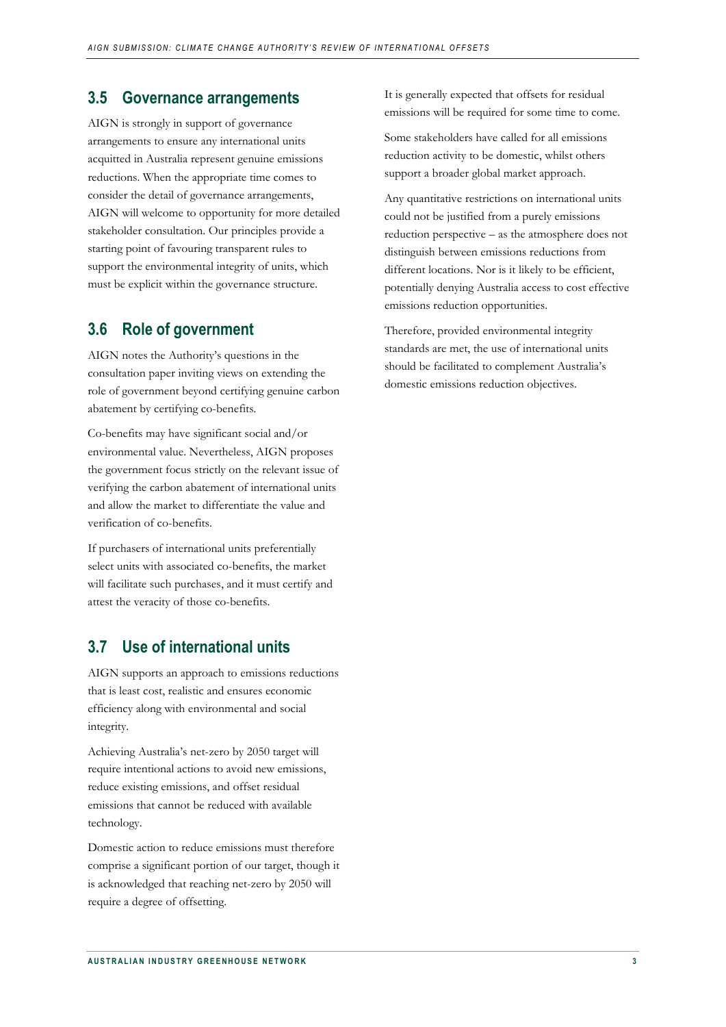#### <span id="page-4-0"></span>**3.5 Governance arrangements**

AIGN is strongly in support of governance arrangements to ensure any international units acquitted in Australia represent genuine emissions reductions. When the appropriate time comes to consider the detail of governance arrangements, AIGN will welcome to opportunity for more detailed stakeholder consultation. Our principles provide a starting point of favouring transparent rules to support the environmental integrity of units, which must be explicit within the governance structure.

#### <span id="page-4-1"></span>**3.6 Role of government**

AIGN notes the Authority's questions in the consultation paper inviting views on extending the role of government beyond certifying genuine carbon abatement by certifying co-benefits.

Co-benefits may have significant social and/or environmental value. Nevertheless, AIGN proposes the government focus strictly on the relevant issue of verifying the carbon abatement of international units and allow the market to differentiate the value and verification of co-benefits.

If purchasers of international units preferentially select units with associated co-benefits, the market will facilitate such purchases, and it must certify and attest the veracity of those co-benefits.

#### <span id="page-4-2"></span>**3.7 Use of international units**

AIGN supports an approach to emissions reductions that is least cost, realistic and ensures economic efficiency along with environmental and social integrity.

Achieving Australia's net-zero by 2050 target will require intentional actions to avoid new emissions, reduce existing emissions, and offset residual emissions that cannot be reduced with available technology.

Domestic action to reduce emissions must therefore comprise a significant portion of our target, though it is acknowledged that reaching net-zero by 2050 will require a degree of offsetting.

It is generally expected that offsets for residual emissions will be required for some time to come.

Some stakeholders have called for all emissions reduction activity to be domestic, whilst others support a broader global market approach.

Any quantitative restrictions on international units could not be justified from a purely emissions reduction perspective – as the atmosphere does not distinguish between emissions reductions from different locations. Nor is it likely to be efficient, potentially denying Australia access to cost effective emissions reduction opportunities.

Therefore, provided environmental integrity standards are met, the use of international units should be facilitated to complement Australia's domestic emissions reduction objectives.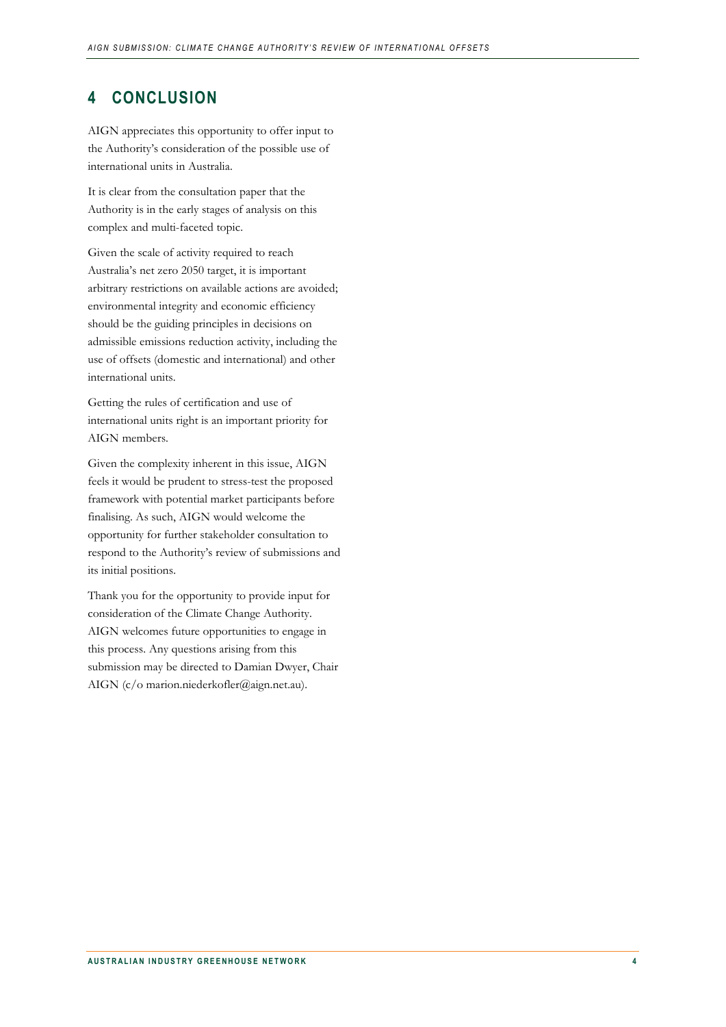## <span id="page-5-0"></span>**4 CONCLUSION**

AIGN appreciates this opportunity to offer input to the Authority's consideration of the possible use of international units in Australia.

It is clear from the consultation paper that the Authority is in the early stages of analysis on this complex and multi-faceted topic.

Given the scale of activity required to reach Australia's net zero 2050 target, it is important arbitrary restrictions on available actions are avoided; environmental integrity and economic efficiency should be the guiding principles in decisions on admissible emissions reduction activity, including the use of offsets (domestic and international) and other international units.

Getting the rules of certification and use of international units right is an important priority for AIGN members.

Given the complexity inherent in this issue, AIGN feels it would be prudent to stress-test the proposed framework with potential market participants before finalising. As such, AIGN would welcome the opportunity for further stakeholder consultation to respond to the Authority's review of submissions and its initial positions.

Thank you for the opportunity to provide input for consideration of the Climate Change Authority. AIGN welcomes future opportunities to engage in this process. Any questions arising from this submission may be directed to Damian Dwyer, Chair AIGN (c/o marion.niederkofler@aign.net.au).